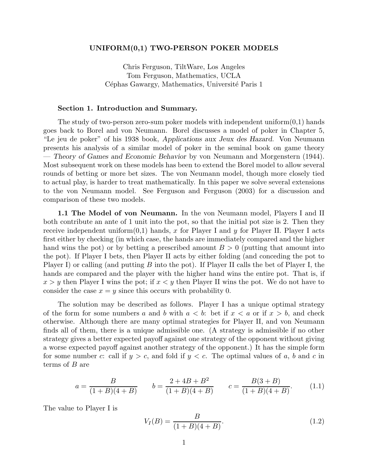# **UNIFORM(0,1) TWO-PERSON POKER MODELS**

Chris Ferguson, TiltWare, Los Angeles Tom Ferguson, Mathematics, UCLA Céphas Gawargy, Mathematics, Université Paris 1

# **Section 1. Introduction and Summary.**

The study of two-person zero-sum poker models with independent uniform $(0,1)$  hands goes back to Borel and von Neumann. Borel discusses a model of poker in Chapter 5, "Le jeu de poker" of his 1938 book, *Applications aux Jeux des Hazard*. Von Neumann presents his analysis of a similar model of poker in the seminal book on game theory — *Theory of Games and Economic Behavior* by von Neumann and Morgenstern (1944). Most subsequent work on these models has been to extend the Borel model to allow several rounds of betting or more bet sizes. The von Neumann model, though more closely tied to actual play, is harder to treat mathematically. In this paper we solve several extensions to the von Neumann model. See Ferguson and Ferguson (2003) for a discussion and comparison of these two models.

**1.1 The Model of von Neumann.** In the von Neumann model, Players I and II both contribute an ante of 1 unit into the pot, so that the initial pot size is 2. Then they receive independent uniform $(0,1)$  hands, x for Player I and y for Player II. Player I acts first either by checking (in which case, the hands are immediately compared and the higher hand wins the pot) or by betting a prescribed amount  $B > 0$  (putting that amount into the pot). If Player I bets, then Player II acts by either folding (and conceding the pot to Player I) or calling (and putting B into the pot). If Player II calls the bet of Player I, the hands are compared and the player with the higher hand wins the entire pot. That is, if  $x>y$  then Player I wins the pot; if  $x < y$  then Player II wins the pot. We do not have to consider the case  $x = y$  since this occurs with probability 0.

The solution may be described as follows. Player I has a unique optimal strategy of the form for some numbers a and b with  $a < b$ : bet if  $x < a$  or if  $x > b$ , and check otherwise. Although there are many optimal strategies for Player II, and von Neumann finds all of them, there is a unique admissible one. (A strategy is admissible if no other strategy gives a better expected payoff against one strategy of the opponent without giving a worse expected payoff against another strategy of the opponent.) It has the simple form for some number c: call if  $y>c$ , and fold if  $y < c$ . The optimal values of a, b and c in terms of B are

$$
a = \frac{B}{(1+B)(4+B)} \qquad b = \frac{2+4B+B^2}{(1+B)(4+B)} \qquad c = \frac{B(3+B)}{(1+B)(4+B)}.\tag{1.1}
$$

The value to Player I is

$$
V_I(B) = \frac{B}{(1+B)(4+B)}.\t(1.2)
$$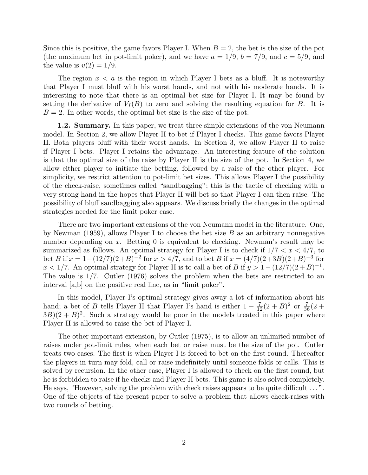Since this is positive, the game favors Player I. When  $B = 2$ , the bet is the size of the pot (the maximum bet in pot-limit poker), and we have  $a = 1/9$ ,  $b = 7/9$ , and  $c = 5/9$ , and the value is  $v(2) = 1/9$ .

The region  $x < a$  is the region in which Player I bets as a bluff. It is noteworthy that Player I must bluff with his worst hands, and not with his moderate hands. It is interesting to note that there is an optimal bet size for Player I. It may be found by setting the derivative of  $V_I(B)$  to zero and solving the resulting equation for B. It is  $B = 2$ . In other words, the optimal bet size is the size of the pot.

**1.2. Summary.** In this paper, we treat three simple extensions of the von Neumann model. In Section 2, we allow Player II to bet if Player I checks. This game favors Player II. Both players bluff with their worst hands. In Section 3, we allow Player II to raise if Player I bets. Player I retains the advantage. An interesting feature of the solution is that the optimal size of the raise by Player II is the size of the pot. In Section 4, we allow either player to initiate the betting, followed by a raise of the other player. For simplicity, we restrict attention to pot-limit bet sizes. This allows Player I the possibility of the check-raise, sometimes called "sandbagging"; this is the tactic of checking with a very strong hand in the hopes that Player II will bet so that Player I can then raise. The possibility of bluff sandbagging also appears. We discuss briefly the changes in the optimal strategies needed for the limit poker case.

There are two important extensions of the von Neumann model in the literature. One, by Newman (1959), allows Player I to choose the bet size  $B$  as an arbitrary nonnegative number depending on x. Betting 0 is equivalent to checking. Newman's result may be summarized as follows. An optimal strategy for Player I is to check if  $1/7 < x < 4/7$ , to bet B if  $x = 1-(12/7)(2+B)^{-2}$  for  $x > 4/7$ , and to bet B if  $x = (4/7)(2+3B)(2+B)^{-3}$  for  $x < 1/7$ . An optimal strategy for Player II is to call a bet of B if  $y > 1 - (12/7)(2+B)^{-1}$ . The value is 1/7. Cutler (1976) solves the problem when the bets are restricted to an interval [a,b] on the positive real line, as in "limit poker".

In this model, Player I's optimal strategy gives away a lot of information about his hand; a bet of B tells Player II that Player I's hand is either  $1 - \frac{7}{12}(2 + B)^2$  or  $\frac{7}{36}(2 +$  $3B(2+B)^2$ . Such a strategy would be poor in the models treated in this paper where Player II is allowed to raise the bet of Player I.

The other important extension, by Cutler (1975), is to allow an unlimited number of raises under pot-limit rules, when each bet or raise must be the size of the pot. Cutler treats two cases. The first is when Player I is forced to bet on the first round. Thereafter the players in turn may fold, call or raise indefinitely until someone folds or calls. This is solved by recursion. In the other case, Player I is allowed to check on the first round, but he is forbidden to raise if he checks and Player II bets. This game is also solved completely. He says, "However, solving the problem with check raises appears to be quite difficult ... ". One of the objects of the present paper to solve a problem that allows check-raises with two rounds of betting.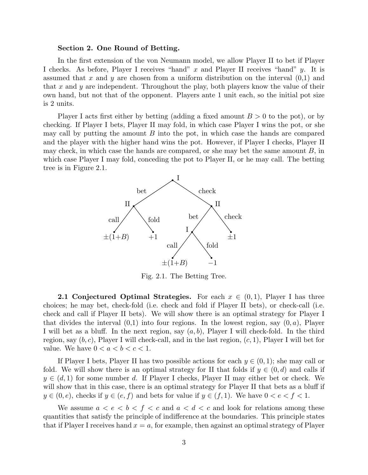## **Section 2. One Round of Betting.**

In the first extension of the von Neumann model, we allow Player II to bet if Player I checks. As before, Player I receives "hand"  $x$  and Player II receives "hand"  $y$ . It is assumed that x and y are chosen from a uniform distribution on the interval  $(0,1)$  and that x and y are independent. Throughout the play, both players know the value of their own hand, but not that of the opponent. Players ante 1 unit each, so the initial pot size is 2 units.

Player I acts first either by betting (adding a fixed amount  $B > 0$  to the pot), or by checking. If Player I bets, Player II may fold, in which case Player I wins the pot, or she may call by putting the amount  $B$  into the pot, in which case the hands are compared and the player with the higher hand wins the pot. However, if Player I checks, Player II may check, in which case the hands are compared, or she may bet the same amount  $B$ , in which case Player I may fold, conceding the pot to Player II, or he may call. The betting tree is in Figure 2.1.



Fig. 2.1. The Betting Tree.

**2.1 Conjectured Optimal Strategies.** For each  $x \in (0,1)$ , Player I has three choices; he may bet, check-fold (i.e. check and fold if Player II bets), or check-call (i.e. check and call if Player II bets). We will show there is an optimal strategy for Player I that divides the interval  $(0,1)$  into four regions. In the lowest region, say  $(0, a)$ , Player I will bet as a bluff. In the next region, say  $(a, b)$ , Player I will check-fold. In the third region, say  $(b, c)$ , Player I will check-call, and in the last region,  $(c, 1)$ , Player I will bet for value. We have  $0 < a < b < c < 1$ .

If Player I bets, Player II has two possible actions for each  $y \in (0,1)$ ; she may call or fold. We will show there is an optimal strategy for II that folds if  $y \in (0,d)$  and calls if  $y \in (d, 1)$  for some number d. If Player I checks, Player II may either bet or check. We will show that in this case, there is an optimal strategy for Player II that bets as a bluff if  $y \in (0, e)$ , checks if  $y \in (e, f)$  and bets for value if  $y \in (f, 1)$ . We have  $0 < e < f < 1$ .

We assume  $a < e < b < f < c$  and  $a < d < c$  and look for relations among these quantities that satisfy the principle of indifference at the boundaries. This principle states that if Player I receives hand  $x = a$ , for example, then against an optimal strategy of Player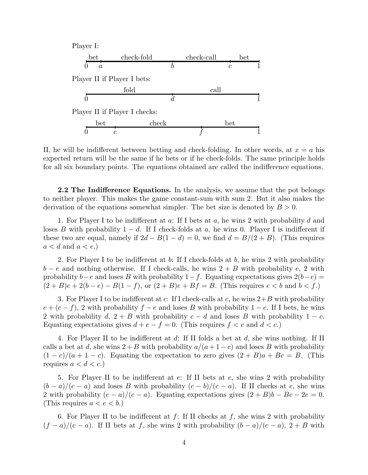

II, he will be indifferent between betting and check-folding. In other words, at  $x = a$  his expected return will be the same if he bets or if he check-folds. The same principle holds for all six boundary points. The equations obtained are called the indifference equations.

**2.2 The Indifference Equations.** In the analysis, we assume that the pot belongs to neither player. This makes the game constant-sum with sum 2. But it also makes the derivation of the equations somewhat simpler. The bet size is denoted by  $B > 0$ .

1. For Player I to be indifferent at  $a$ : If I bets at  $a$ , he wins 2 with probability  $d$  and loses B with probability  $1 - d$ . If I check-folds at a, he wins 0. Player I is indifferent if these two are equal, namely if  $2d - B(1 - d) = 0$ , we find  $d = B/(2 + B)$ . (This requires  $a < d$  and  $a < e$ .)

2. For Player I to be indifferent at b: If I check-folds at b, he wins 2 with probability  $b - e$  and nothing otherwise. If I check-calls, he wins  $2 + B$  with probability e, 2 with probability  $b-e$  and loses B with probability  $1-f$ . Equating expectations gives  $2(b-e)$  =  $(2 + B)e + 2(b - e) - B(1 - f)$ , or  $(2 + B)e + Bf = B$ . (This requires  $e < b$  and  $b < f$ .)

3. For Player I to be indifferent at c: If I check-calls at c, he wins  $2+B$  with probability  $e + (c - f)$ , 2 with probability  $f - e$  and loses B with probability  $1 - c$ . If I bets, he wins 2 with probability d,  $2 + B$  with probability  $c - d$  and loses B with probability  $1 - c$ . Equating expectations gives  $d + e - f = 0$ . (This requires  $f < c$  and  $d < c$ .)

4. For Player II to be indifferent at d: If II folds a bet at d, she wins nothing. If II calls a bet at d, she wins  $2+B$  with probability  $a/(a+1-c)$  and loses B with probability  $(1-c)/(a+1-c)$ . Equating the expectation to zero gives  $(2+B)a+Be=B$ . (This requires  $a < d < c$ .)

5. For Player II to be indifferent at e: If II bets at e, she wins 2 with probability  $(b-a)/(c-a)$  and loses B with probability  $(c-b)/(c-a)$ . If II checks at e, she wins 2 with probability  $(e - a)/(c - a)$ . Equating expectations gives  $(2 + B)b - Bc - 2e = 0$ . (This requires  $a < e < b$ .)

6. For Player II to be indifferent at  $f$ : If II checks at  $f$ , she wins 2 with probability  $(f - a)/(c - a)$ . If II bets at f, she wins 2 with probability  $(b - a)/(c - a)$ , 2 + B with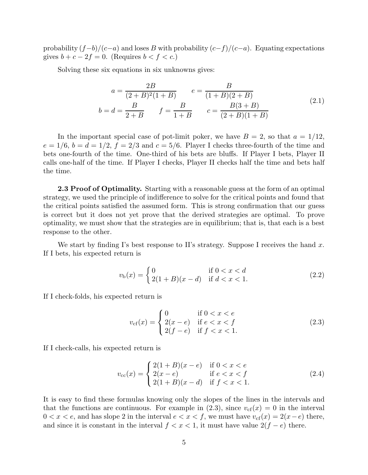probability  $(f-b)/(c-a)$  and loses B with probability  $(c-f)/(c-a)$ . Equating expectations gives  $b + c - 2f = 0$ . (Requires  $b < f < c$ .)

Solving these six equations in six unknowns gives:

$$
a = \frac{2B}{(2+B)^2(1+B)} \qquad e = \frac{B}{(1+B)(2+B)}
$$
  
\n
$$
b = d = \frac{B}{2+B} \qquad f = \frac{B}{1+B} \qquad c = \frac{B(3+B)}{(2+B)(1+B)}
$$
 (2.1)

In the important special case of pot-limit poker, we have  $B = 2$ , so that  $a = 1/12$ ,  $e = 1/6$ ,  $b = d = 1/2$ ,  $f = 2/3$  and  $c = 5/6$ . Player I checks three-fourth of the time and bets one-fourth of the time. One-third of his bets are bluffs. If Player I bets, Player II calls one-half of the time. If Player I checks, Player II checks half the time and bets half the time.

**2.3 Proof of Optimality.** Starting with a reasonable guess at the form of an optimal strategy, we used the principle of indifference to solve for the critical points and found that the critical points satisfied the assumed form. This is strong confirmation that our guess is correct but it does not yet prove that the derived strategies are optimal. To prove optimality, we must show that the strategies are in equilibrium; that is, that each is a best response to the other.

We start by finding I's best response to II's strategy. Suppose I receives the hand x. If I bets, his expected return is

$$
v_{\rm b}(x) = \begin{cases} 0 & \text{if } 0 < x < d \\ 2(1+B)(x-d) & \text{if } d < x < 1. \end{cases} \tag{2.2}
$$

If I check-folds, his expected return is

$$
v_{\rm cf}(x) = \begin{cases} 0 & \text{if } 0 < x < e \\ 2(x - e) & \text{if } e < x < f \\ 2(f - e) & \text{if } f < x < 1. \end{cases} \tag{2.3}
$$

If I check-calls, his expected return is

$$
v_{\rm cc}(x) = \begin{cases} 2(1+B)(x-e) & \text{if } 0 < x < e \\ 2(x-e) & \text{if } e < x < f \\ 2(1+B)(x-d) & \text{if } f < x < 1. \end{cases} \tag{2.4}
$$

It is easy to find these formulas knowing only the slopes of the lines in the intervals and that the functions are continuous. For example in  $(2.3)$ , since  $v_{cf}(x) = 0$  in the interval  $0 < x < e$ , and has slope 2 in the interval  $e < x < f$ , we must have  $v_{cf}(x) = 2(x-e)$  there, and since it is constant in the interval  $f < x < 1$ , it must have value  $2(f - e)$  there.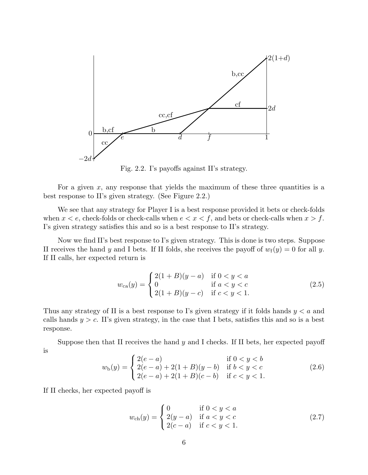

Fig. 2.2. I's payoffs against II's strategy.

For a given  $x$ , any response that yields the maximum of these three quantities is a best response to II's given strategy. (See Figure 2.2.)

We see that any strategy for Player I is a best response provided it bets or check-folds when  $x < e$ , check-folds or check-calls when  $e < x < f$ , and bets or check-calls when  $x > f$ . I's given strategy satisfies this and so is a best response to II's strategy.

Now we find II's best response to I's given strategy. This is done is two steps. Suppose II receives the hand y and I bets. If II folds, she receives the payoff of  $w_f(y) = 0$  for all y. If II calls, her expected return is

$$
w_{ca}(y) = \begin{cases} 2(1+B)(y-a) & \text{if } 0 < y < a \\ 0 & \text{if } a < y < c \\ 2(1+B)(y-c) & \text{if } c < y < 1. \end{cases}
$$
 (2.5)

Thus any strategy of II is a best response to I's given strategy if it folds hands  $y < a$  and calls hands  $y>c$ . II's given strategy, in the case that I bets, satisfies this and so is a best response.

Suppose then that II receives the hand  $y$  and I checks. If II bets, her expected payoff is

$$
w_{b}(y) = \begin{cases} 2(e-a) & \text{if } 0 < y < b \\ 2(e-a) + 2(1+B)(y-b) & \text{if } b < y < c \\ 2(e-a) + 2(1+B)(c-b) & \text{if } c < y < 1. \end{cases}
$$
 (2.6)

If II checks, her expected payoff is

$$
w_{\rm ch}(y) = \begin{cases} 0 & \text{if } 0 < y < a \\ 2(y - a) & \text{if } a < y < c \\ 2(c - a) & \text{if } c < y < 1. \end{cases} \tag{2.7}
$$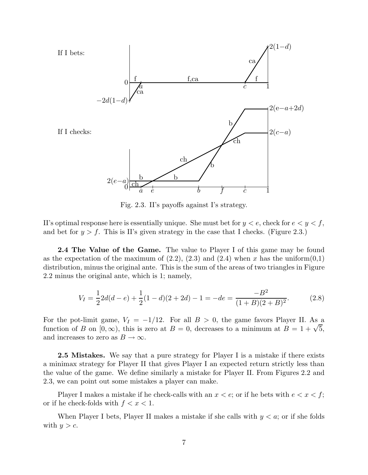

Fig. 2.3. II's payoffs against I's strategy.

II's optimal response here is essentially unique. She must bet for  $y < e$ , check for  $e < y < f$ , and bet for  $y > f$ . This is II's given strategy in the case that I checks. (Figure 2.3.)

**2.4 The Value of the Game.** The value to Player I of this game may be found as the expectation of the maximum of  $(2.2)$ ,  $(2.3)$  and  $(2.4)$  when x has the uniform $(0,1)$ distribution, minus the original ante. This is the sum of the areas of two triangles in Figure 2.2 minus the original ante, which is 1; namely,

$$
V_I = \frac{1}{2}2d(d-e) + \frac{1}{2}(1-d)(2+2d) - 1 = -de = \frac{-B^2}{(1+B)(2+B)^2}.
$$
 (2.8)

For the pot-limit game,  $V_I = -1/12$ . For all  $B > 0$ , the game favors Player II. As a function of B on  $[0, \infty)$ , this is zero at  $B = 0$ , decreases to a minimum at  $B = 1 + \sqrt{5}$ , and increases to zero as  $B \to \infty$ .

**2.5 Mistakes.** We say that a pure strategy for Player I is a mistake if there exists a minimax strategy for Player II that gives Player I an expected return strictly less than the value of the game. We define similarly a mistake for Player II. From Figures 2.2 and 2.3, we can point out some mistakes a player can make.

Player I makes a mistake if he check-calls with an  $x < e$ ; or if he bets with  $e < x < f$ ; or if he check-folds with  $f < x < 1$ .

When Player I bets, Player II makes a mistake if she calls with  $y < a$ ; or if she folds with  $y>c$ .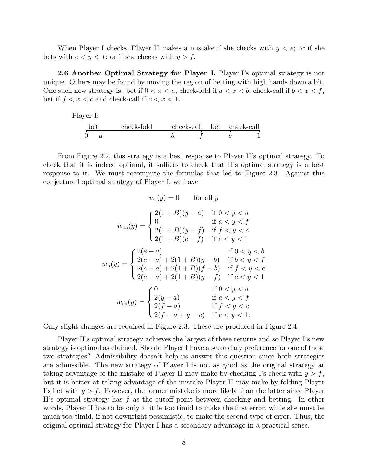When Player I checks, Player II makes a mistake if she checks with  $y < e$ ; or if she bets with  $e < y < f$ ; or if she checks with  $y > f$ .

**2.6 Another Optimal Strategy for Player I.** Player I's optimal strategy is not unique. Others may be found by moving the region of betting with high hands down a bit. One such new strategy is: bet if  $0 < x < a$ , check-fold if  $a < x < b$ , check-call if  $b < x < f$ , bet if  $f < x < c$  and check-call if  $c < x < 1$ .

Player I:  
\n
$$
\underbrace{\text{bet}}_{0 \quad a} \quad \text{check-fold} \quad \text{check-call} \quad \text{bet} \quad \text{check-call} \quad c \quad \text{1}
$$

From Figure 2.2, this strategy is a best response to Player II's optimal strategy. To check that it is indeed optimal, it suffices to check that II's optimal strategy is a best response to it. We must recompute the formulas that led to Figure 2.3. Against this conjectured optimal strategy of Player I, we have

$$
w_{\rm f}(y) = 0 \quad \text{for all } y
$$
  
\n
$$
w_{\rm ca}(y) = \begin{cases} 2(1+B)(y-a) & \text{if } 0 < y < a \\ 0 & \text{if } a < y < f \\ 2(1+B)(y-f) & \text{if } f < y < c \\ 2(1+B)(c-f) & \text{if } c < y < 1 \end{cases}
$$
  
\n
$$
w_{\rm b}(y) = \begin{cases} 2(e-a) & \text{if } 0 < y < b \\ 2(e-a) + 2(1+B)(y-b) & \text{if } b < y < f \\ 2(e-a) + 2(1+B)(f-b) & \text{if } f < y < c \\ 2(e-a) + 2(1+B)(y-f) & \text{if } c < y < 1 \end{cases}
$$
  
\n
$$
w_{\rm ch}(y) = \begin{cases} 0 & \text{if } 0 < y < a \\ 2(y-a) & \text{if } a < y < f \\ 2(f-a) & \text{if } f < y < c \\ 2(f-a+y-c) & \text{if } c < y < 1. \end{cases}
$$

Only slight changes are required in Figure 2.3. These are produced in Figure 2.4.

Player II's optimal strategy achieves the largest of these returns and so Player I's new strategy is optimal as claimed. Should Player I have a secondary preference for one of these two strategies? Admissibility doesn't help us answer this question since both strategies are admissible. The new strategy of Player I is not as good as the original strategy at taking advantage of the mistake of Player II may make by checking I's check with  $y > f$ , but it is better at taking advantage of the mistake Player II may make by folding Player I's bet with  $y>f$ . However, the former mistake is more likely than the latter since Player II's optimal strategy has f as the cutoff point between checking and betting. In other words, Player II has to be only a little too timid to make the first error, while she must be much too timid, if not downright pessimistic, to make the second type of error. Thus, the original optimal strategy for Player I has a secondary advantage in a practical sense.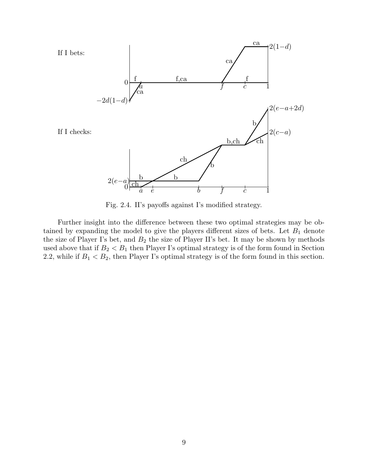

Fig. 2.4. II's payoffs against I's modified strategy.

Further insight into the difference between these two optimal strategies may be obtained by expanding the model to give the players different sizes of bets. Let  $B_1$  denote the size of Player I's bet, and  $B_2$  the size of Player II's bet. It may be shown by methods used above that if  $B_2 < B_1$  then Player I's optimal strategy is of the form found in Section 2.2, while if  $B_1 < B_2$ , then Player I's optimal strategy is of the form found in this section.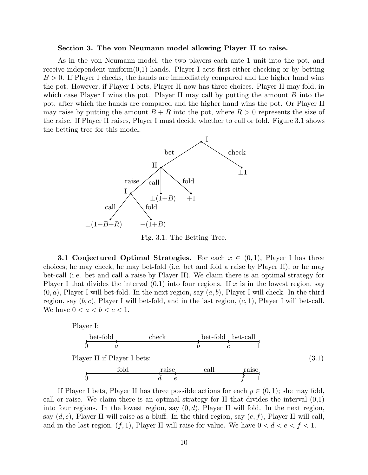#### **Section 3. The von Neumann model allowing Player II to raise.**

As in the von Neumann model, the two players each ante 1 unit into the pot, and receive independent uniform $(0,1)$  hands. Player I acts first either checking or by betting  $B > 0$ . If Player I checks, the hands are immediately compared and the higher hand wins the pot. However, if Player I bets, Player II now has three choices. Player II may fold, in which case Player I wins the pot. Player II may call by putting the amount  $B$  into the pot, after which the hands are compared and the higher hand wins the pot. Or Player II may raise by putting the amount  $B + R$  into the pot, where  $R > 0$  represents the size of the raise. If Player II raises, Player I must decide whether to call or fold. Figure 3.1 shows the betting tree for this model.



Fig. 3.1. The Betting Tree.

**3.1 Conjectured Optimal Strategies.** For each  $x \in (0,1)$ , Player I has three choices; he may check, he may bet-fold (i.e. bet and fold a raise by Player II), or he may bet-call (i.e. bet and call a raise by Player II). We claim there is an optimal strategy for Player I that divides the interval  $(0,1)$  into four regions. If x is in the lowest region, say  $(0, a)$ , Player I will bet-fold. In the next region, say  $(a, b)$ , Player I will check. In the third region, say  $(b, c)$ , Player I will bet-fold, and in the last region,  $(c, 1)$ , Player I will bet-call. We have  $0 < a < b < c < 1$ .



If Player I bets, Player II has three possible actions for each  $y \in (0,1)$ ; she may fold, call or raise. We claim there is an optimal strategy for  $II$  that divides the interval  $(0,1)$ into four regions. In the lowest region, say  $(0, d)$ , Player II will fold. In the next region, say  $(d, e)$ , Player II will raise as a bluff. In the third region, say  $(e, f)$ , Player II will call, and in the last region,  $(f, 1)$ , Player II will raise for value. We have  $0 < d < e < f < 1$ .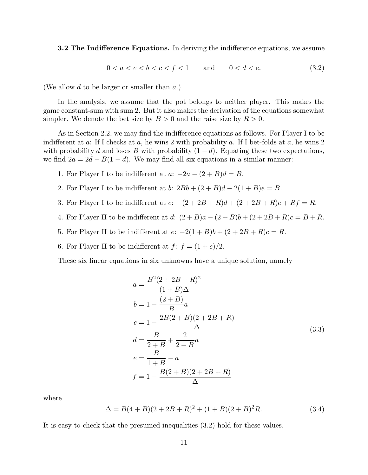**3.2 The Indifference Equations.** In deriving the indifference equations, we assume

$$
0 < a < e < b < c < f < 1 \qquad \text{and} \qquad 0 < d < e. \tag{3.2}
$$

(We allow d to be larger or smaller than a.)

In the analysis, we assume that the pot belongs to neither player. This makes the game constant-sum with sum 2. But it also makes the derivation of the equations somewhat simpler. We denote the bet size by  $B > 0$  and the raise size by  $R > 0$ .

As in Section 2.2, we may find the indifference equations as follows. For Player I to be indifferent at a: If I checks at a, he wins 2 with probability a. If I bet-folds at a, he wins 2 with probability d and loses B with probability  $(1-d)$ . Equating these two expectations, we find  $2a = 2d - B(1 - d)$ . We may find all six equations in a similar manner:

- 1. For Player I to be indifferent at  $a: -2a (2 + B)d = B$ .
- 2. For Player I to be indifferent at b:  $2Bb + (2 + B)d 2(1 + B)e = B$ .
- 3. For Player I to be indifferent at  $c: -(2 + 2B + R)d + (2 + 2B + R)e + Rf = R$ .
- 4. For Player II to be indifferent at d:  $(2 + B)a (2 + B)b + (2 + 2B + R)c = B + R$ .
- 5. For Player II to be indifferent at  $e: -2(1+B)b + (2+2B+R)c = R$ .
- 6. For Player II to be indifferent at  $f: f = (1+c)/2$ .

These six linear equations in six unknowns have a unique solution, namely

$$
a = \frac{B^2(2 + 2B + R)^2}{(1 + B)\Delta}
$$
  
\n
$$
b = 1 - \frac{(2 + B)}{B}a
$$
  
\n
$$
c = 1 - \frac{2B(2 + B)(2 + 2B + R)}{\Delta}
$$
  
\n
$$
d = \frac{B}{2 + B} + \frac{2}{2 + B}a
$$
  
\n
$$
e = \frac{B}{1 + B} - a
$$
  
\n
$$
f = 1 - \frac{B(2 + B)(2 + 2B + R)}{\Delta}
$$
 (3.3)

where

$$
\Delta = B(4+B)(2+2B+R)^2 + (1+B)(2+B)^2R.
$$
 (3.4)

It is easy to check that the presumed inequalities (3.2) hold for these values.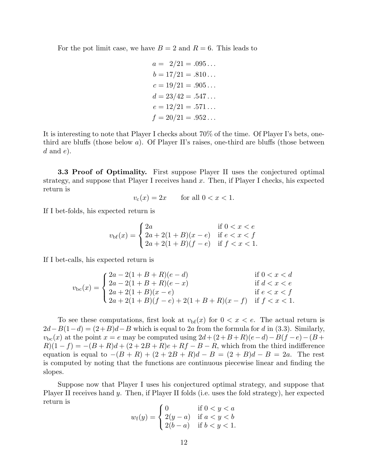For the pot limit case, we have  $B = 2$  and  $R = 6$ . This leads to

$$
a = 2/21 = .095...
$$
  
\n
$$
b = 17/21 = .810...
$$
  
\n
$$
c = 19/21 = .905...
$$
  
\n
$$
d = 23/42 = .547...
$$
  
\n
$$
e = 12/21 = .571...
$$
  
\n
$$
f = 20/21 = .952...
$$

It is interesting to note that Player I checks about 70% of the time. Of Player I's bets, onethird are bluffs (those below  $a$ ). Of Player II's raises, one-third are bluffs (those between  $d$  and  $e$ ).

**3.3 Proof of Optimality.** First suppose Player II uses the conjectured optimal strategy, and suppose that Player I receives hand  $x$ . Then, if Player I checks, his expected return is

$$
v_{\rm c}(x) = 2x \qquad \text{for all } 0 < x < 1.
$$

If I bet-folds, his expected return is

$$
v_{\text{bf}}(x) = \begin{cases} 2a & \text{if } 0 < x < e \\ 2a + 2(1 + B)(x - e) & \text{if } e < x < f \\ 2a + 2(1 + B)(f - e) & \text{if } f < x < 1. \end{cases}
$$

If I bet-calls, his expected return is

$$
v_{bc}(x) = \begin{cases} 2a - 2(1 + B + R)(e - d) & \text{if } 0 < x < d \\ 2a - 2(1 + B + R)(e - x) & \text{if } d < x < e \\ 2a + 2(1 + B)(x - e) & \text{if } e < x < f \\ 2a + 2(1 + B)(f - e) + 2(1 + B + R)(x - f) & \text{if } f < x < 1. \end{cases}
$$

To see these computations, first look at  $v_{\text{bf}}(x)$  for  $0 < x < e$ . The actual return is  $2d-B(1-d) = (2+B)d-B$  which is equal to 2a from the formula for d in (3.3). Similarly,  $v_{bc}(x)$  at the point  $x = e$  may be computed using  $2d + (2+B+R)(e-d) - B(f-e) - (B+$  $R(1-f) = -(B+R)d + (2+2B+R)e + Rf - B - R$ , which from the third indifference equation is equal to  $-(B + R) + (2 + 2B + R)d - B = (2 + B)d - B = 2a$ . The rest is computed by noting that the functions are continuous piecewise linear and finding the slopes.

Suppose now that Player I uses his conjectured optimal strategy, and suppose that Player II receives hand y. Then, if Player II folds (i.e. uses the fold strategy), her expected return is

$$
w_{\rm f}(y) = \begin{cases} 0 & \text{if } 0 < y < a \\ 2(y - a) & \text{if } a < y < b \\ 2(b - a) & \text{if } b < y < 1. \end{cases}
$$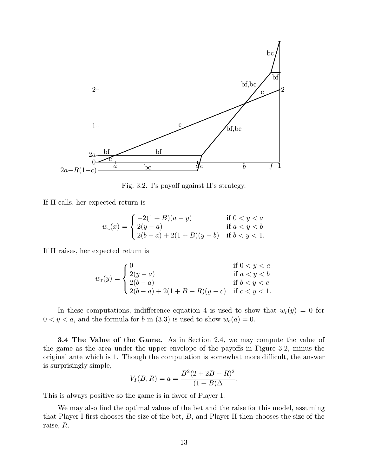

Fig. 3.2. I's payoff against II's strategy.

If II calls, her expected return is

$$
w_c(x) = \begin{cases} -2(1+B)(a-y) & \text{if } 0 < y < a \\ 2(y-a) & \text{if } a < y < b \\ 2(b-a) + 2(1+B)(y-b) & \text{if } b < y < 1. \end{cases}
$$

If II raises, her expected return is

$$
w_r(y) = \begin{cases} 0 & \text{if } 0 < y < a \\ 2(y - a) & \text{if } a < y < b \\ 2(b - a) & \text{if } b < y < c \\ 2(b - a) + 2(1 + B + R)(y - c) & \text{if } c < y < 1. \end{cases}
$$

In these computations, indifference equation 4 is used to show that  $w_r(y) = 0$  for  $0 < y < a$ , and the formula for b in (3.3) is used to show  $w_c(a) = 0$ .

**3.4 The Value of the Game.** As in Section 2.4, we may compute the value of the game as the area under the upper envelope of the payoffs in Figure 3.2, minus the original ante which is 1. Though the computation is somewhat more difficult, the answer is surprisingly simple,

$$
V_I(B,R) = a = \frac{B^2(2+2B+R)^2}{(1+B)\Delta}.
$$

This is always positive so the game is in favor of Player I.

We may also find the optimal values of the bet and the raise for this model, assuming that Player I first chooses the size of the bet,  $B$ , and Player II then chooses the size of the raise, R.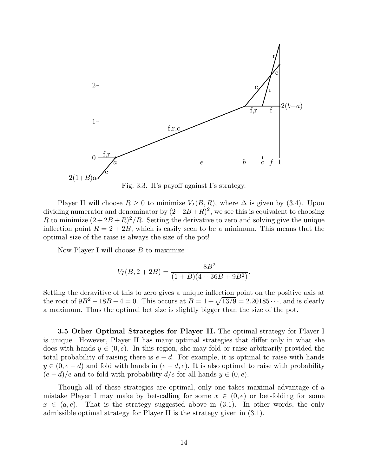![](_page_13_Figure_0.jpeg)

Fig. 3.3. II's payoff against I's strategy.

Player II will choose  $R > 0$  to minimize  $V_I(B, R)$ , where  $\Delta$  is given by (3.4). Upon dividing numerator and denominator by  $(2+2B+R)^2$ , we see this is equivalent to choosing R to minimize  $(2+2B+R)^2/R$ . Setting the derivative to zero and solving give the unique inflection point  $R = 2+2B$ , which is easily seen to be a minimum. This means that the optimal size of the raise is always the size of the pot!

Now Player I will choose  $B$  to maximize

$$
V_I(B, 2+2B) = \frac{8B^2}{(1+B)(4+36B+9B^2)}.
$$

Setting the deravitive of this to zero gives a unique inflection point on the positive axis at the root of  $9B^2 - 18B - 4 = 0$ . This occurs at  $B = 1 + \sqrt{13/9} = 2.20185 \cdots$ , and is clearly a maximum. Thus the optimal bet size is slightly bigger than the size of the pot.

**3.5 Other Optimal Strategies for Player II.** The optimal strategy for Player I is unique. However, Player II has many optimal strategies that differ only in what she does with hands  $y \in (0, e)$ . In this region, she may fold or raise arbitrarily provided the total probability of raising there is  $e - d$ . For example, it is optimal to raise with hands  $y \in (0, e-d)$  and fold with hands in  $(e-d, e)$ . It is also optimal to raise with probability  $(e-d)/e$  and to fold with probability  $d/e$  for all hands  $y \in (0, e)$ .

Though all of these strategies are optimal, only one takes maximal advantage of a mistake Player I may make by bet-calling for some  $x \in (0, e)$  or bet-folding for some  $x \in (a, e)$ . That is the strategy suggested above in (3.1). In other words, the only admissible optimal strategy for Player II is the strategy given in (3.1).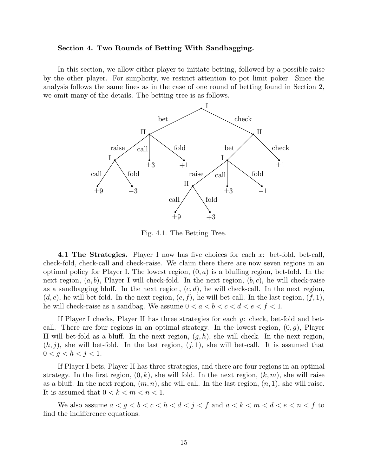## **Section 4. Two Rounds of Betting With Sandbagging.**

In this section, we allow either player to initiate betting, followed by a possible raise by the other player. For simplicity, we restrict attention to pot limit poker. Since the analysis follows the same lines as in the case of one round of betting found in Section 2, we omit many of the details. The betting tree is as follows.

![](_page_14_Figure_2.jpeg)

Fig. 4.1. The Betting Tree.

**4.1 The Strategies.** Player I now has five choices for each x: bet-fold, bet-call, check-fold, check-call and check-raise. We claim there there are now seven regions in an optimal policy for Player I. The lowest region,  $(0, a)$  is a bluffing region, bet-fold. In the next region,  $(a, b)$ , Player I will check-fold. In the next region,  $(b, c)$ , he will check-raise as a sandbagging bluff. In the next region,  $(c, d)$ , he will check-call. In the next region,  $(d, e)$ , he will bet-fold. In the next region,  $(e, f)$ , he will bet-call. In the last region,  $(f, 1)$ , he will check-raise as a sandbag. We assume  $0 < a < b < c < d < e < f < 1$ .

If Player I checks, Player II has three strategies for each  $y$ : check, bet-fold and betcall. There are four regions in an optimal strategy. In the lowest region,  $(0, g)$ , Player II will bet-fold as a bluff. In the next region,  $(g, h)$ , she will check. In the next region,  $(h, j)$ , she will bet-fold. In the last region,  $(j, 1)$ , she will bet-call. It is assumed that  $0 < g < h < j < 1$ .

If Player I bets, Player II has three strategies, and there are four regions in an optimal strategy. In the first region,  $(0, k)$ , she will fold. In the next region,  $(k, m)$ , she will raise as a bluff. In the next region,  $(m, n)$ , she will call. In the last region,  $(n, 1)$ , she will raise. It is assumed that  $0 < k < m < n < 1$ .

We also assume  $a < g < b < c < h < d < j < f$  and  $a < k < m < d < e < n < f$  to find the indifference equations.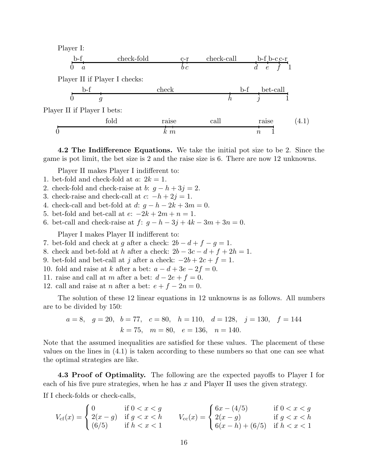| Player I:                   |                               |                 |            |                 |       |
|-----------------------------|-------------------------------|-----------------|------------|-----------------|-------|
| $b-f$                       | check-fold                    | $\frac{c-r}{r}$ | check-call | $b-f b-c-r$     |       |
| $\overline{a}$              |                               | $b\,c$          |            | $\epsilon$      |       |
|                             | Player II if Player I checks: |                 |            |                 |       |
| b-f                         |                               | check           |            | bet-call<br>b-f |       |
|                             | g                             |                 |            |                 |       |
| Player II if Player I bets: |                               |                 |            |                 |       |
|                             | fold                          | raise           | call       | raise           | (4.1) |
|                             |                               | $k \, m$        |            | $\it{n}$        |       |

**4.2 The Indifference Equations.** We take the initial pot size to be 2. Since the game is pot limit, the bet size is 2 and the raise size is 6. There are now 12 unknowns.

Player II makes Player I indifferent to:

- 1. bet-fold and check-fold at  $a: 2k = 1$ .
- 2. check-fold and check-raise at b:  $q h + 3j = 2$ .
- 3. check-raise and check-call at  $c: -h + 2j = 1$ .
- 4. check-call and bet-fold at  $d: g-h-2k+3m=0$ .
- 5. bet-fold and bet-call at  $e: -2k + 2m + n = 1$ .
- 6. bet-call and check-raise at  $f: g h 3j + 4k 3m + 3n = 0$ .

Player I makes Player II indifferent to:

- 7. bet-fold and check at g after a check:  $2b d + f g = 1$ .
- 8. check and bet-fold at h after a check:  $2b 3c d + f + 2h = 1$ .
- 9. bet-fold and bet-call at j after a check:  $-2b+2c+f=1$ .
- 10. fold and raise at k after a bet:  $a d + 3e 2f = 0$ .
- 11. raise and call at m after a bet:  $d 2e + f = 0$ .
- 12. call and raise at *n* after a bet:  $e + f 2n = 0$ .

The solution of these 12 linear equations in 12 unknowns is as follows. All numbers are to be divided by 150:

$$
a = 8
$$
,  $g = 20$ ,  $b = 77$ ,  $c = 80$ ,  $h = 110$ ,  $d = 128$ ,  $j = 130$ ,  $f = 144$   
 $k = 75$ ,  $m = 80$ ,  $e = 136$ ,  $n = 140$ .

Note that the assumed inequalities are satisfied for these values. The placement of these values on the lines in (4.1) is taken according to these numbers so that one can see what the optimal strategies are like.

**4.3 Proof of Optimality.** The following are the expected payoffs to Player I for each of his five pure strategies, when he has  $x$  and Player II uses the given strategy.

If I check-folds or check-calls,

$$
V_{\rm cf}(x) = \begin{cases} 0 & \text{if } 0 < x < g \\ 2(x - g) & \text{if } g < x < h \\ (6/5) & \text{if } h < x < 1 \end{cases} \qquad V_{\rm cc}(x) = \begin{cases} 6x - (4/5) & \text{if } 0 < x < g \\ 2(x - g) & \text{if } g < x < h \\ 6(x - h) + (6/5) & \text{if } h < x < 1 \end{cases}
$$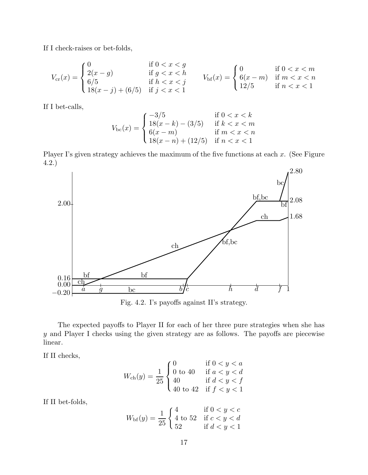If I check-raises or bet-folds,

$$
V_{\text{cr}}(x) = \begin{cases} 0 & \text{if } 0 < x < g \\ 2(x - g) & \text{if } g < x < h \\ 6/5 & \text{if } h < x < j \\ 18(x - j) + (6/5) & \text{if } j < x < 1 \end{cases} \qquad V_{\text{bf}}(x) = \begin{cases} 0 & \text{if } 0 < x < m \\ 6(x - m) & \text{if } m < x < n \\ 12/5 & \text{if } n < x < 1 \end{cases}
$$

If I bet-calls,

$$
V_{bc}(x) = \begin{cases} -3/5 & \text{if } 0 < x < k \\ 18(x - k) - (3/5) & \text{if } k < x < m \\ 6(x - m) & \text{if } m < x < n \\ 18(x - n) + (12/5) & \text{if } n < x < 1 \end{cases}
$$

Player I's given strategy achieves the maximum of the five functions at each  $x$ . (See Figure 4.2.)

![](_page_16_Figure_5.jpeg)

Fig. 4.2. I's payoffs against II's strategy.

The expected payoffs to Player II for each of her three pure strategies when she has y and Player I checks using the given strategy are as follows. The payoffs are piecewise linear.

If II checks,

$$
W_{\rm ch}(y) = \frac{1}{25} \begin{cases} 0 & \text{if } 0 < y < a \\ 0 \text{ to } 40 & \text{if } a < y < d \\ 40 & \text{if } d < y < f \\ 40 \text{ to } 42 & \text{if } f < y < 1 \end{cases}
$$

If II bet-folds,

$$
W_{\text{bf}}(y) = \frac{1}{25} \begin{cases} 4 & \text{if } 0 < y < c \\ 4 \text{ to } 52 & \text{if } c < y < d \\ 52 & \text{if } d < y < 1 \end{cases}
$$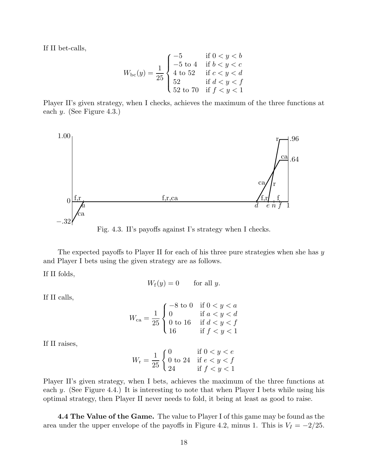If II bet-calls,

$$
W_{bc}(y) = \frac{1}{25} \begin{cases} -5 & \text{if } 0 < y < b \\ -5 \text{ to } 4 & \text{if } b < y < c \\ 4 \text{ to } 52 & \text{if } c < y < d \\ 52 & \text{if } d < y < f \\ 52 \text{ to } 70 & \text{if } f < y < 1 \end{cases}
$$

Player II's given strategy, when I checks, achieves the maximum of the three functions at each y. (See Figure 4.3.)

![](_page_17_Figure_3.jpeg)

Fig. 4.3. II's payoffs against I's strategy when I checks.

The expected payoffs to Player II for each of his three pure strategies when she has  $y$ and Player I bets using the given strategy are as follows.

If II folds,

 $W_f(y) = 0$  for all y.

If II calls,

$$
W_{\rm ca} = \frac{1}{25} \begin{cases} -8 \text{ to } 0 & \text{if } 0 < y < a \\ 0 & \text{if } a < y < d \\ 0 \text{ to } 16 & \text{if } d < y < f \\ 16 & \text{if } f < y < 1 \end{cases}
$$

If II raises,

$$
W_{\rm r} = \frac{1}{25} \begin{cases} 0 & \text{if } 0 < y < e \\ 0 & \text{to } 24 & \text{if } e < y < f \\ 24 & \text{if } f < y < 1 \end{cases}
$$

Player II's given strategy, when I bets, achieves the maximum of the three functions at each y. (See Figure 4.4.) It is interesting to note that when Player I bets while using his optimal strategy, then Player II never needs to fold, it being at least as good to raise.

**4.4 The Value of the Game.** The value to Player I of this game may be found as the area under the upper envelope of the payoffs in Figure 4.2, minus 1. This is  $V_I = -2/25$ .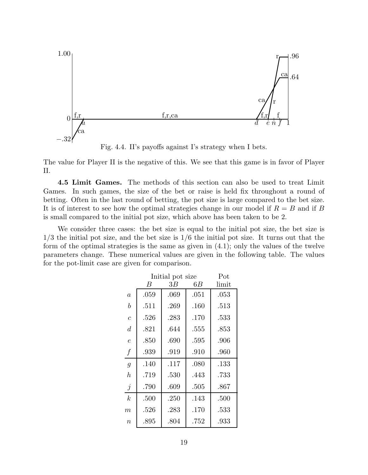![](_page_18_Figure_0.jpeg)

Fig. 4.4. II's payoffs against I's strategy when I bets.

The value for Player II is the negative of this. We see that this game is in favor of Player II.

**4.5 Limit Games.** The methods of this section can also be used to treat Limit Games. In such games, the size of the bet or raise is held fix throughout a round of betting. Often in the last round of betting, the pot size is large compared to the bet size. It is of interest to see how the optimal strategies change in our model if  $R = B$  and if B is small compared to the initial pot size, which above has been taken to be 2.

We consider three cases: the bet size is equal to the initial pot size, the bet size is  $1/3$  the initial pot size, and the bet size is  $1/6$  the initial pot size. It turns out that the form of the optimal strategies is the same as given in (4.1); only the values of the twelve parameters change. These numerical values are given in the following table. The values for the pot-limit case are given for comparison.

|                  | Initial pot size | Pot     |         |       |
|------------------|------------------|---------|---------|-------|
|                  | В                | $3B \,$ | $6B \,$ | limit |
| $\boldsymbol{a}$ | .059             | .069    | .051    | .053  |
| $\it b$          | .511             | .269    | .160    | .513  |
| $\mathcal{C}$    | .526             | .283    | .170    | .533  |
| $\overline{d}$   | .821             | .644    | .555    | .853  |
| $\epsilon$       | .850             | .690    | .595    | .906  |
| $\int$           | .939             | .919    | .910    | .960  |
| $\overline{g}$   | .140             | .117    | .080    | .133  |
| $\boldsymbol{h}$ | .719             | .530    | .443    | .733  |
| $\dot{j}$        | .790             | .609    | .505    | .867  |
| $\boldsymbol{k}$ | .500             | .250    | .143    | .500  |
| $\,m$            | .526             | .283    | .170    | .533  |
| $\boldsymbol{n}$ | .895             | .804    | .752    | .933  |